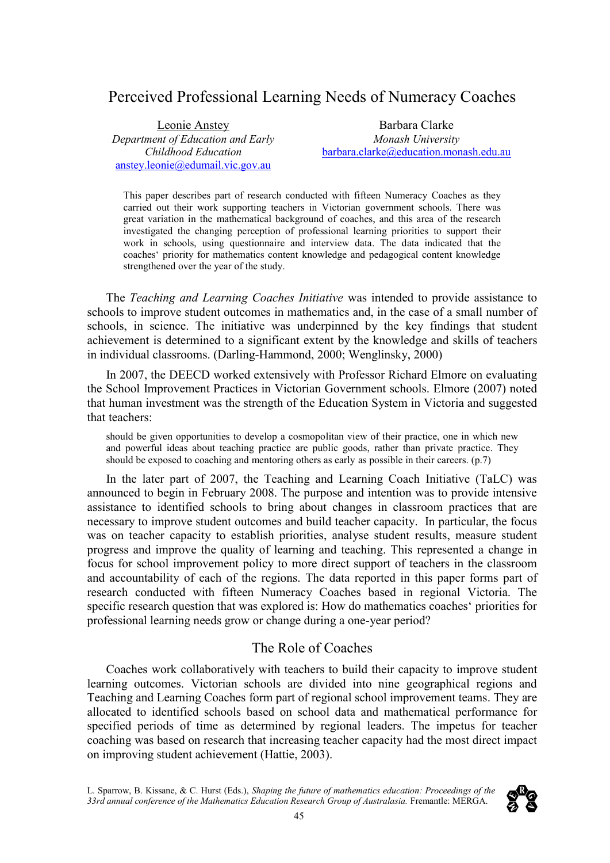# Perceived Professional Learning Needs of Numeracy Coaches

Leonie Anstey *Department of Education and Early Childhood Education* [anstey.leonie@edumail.vic.gov.au](mailto:anstey.leonie@edumail.vic.gov.au)

Barbara Clarke *Monash University* [barbara.clarke@education.monash.edu.au](mailto:barbara.clarke@education.monash.edu.au)

This paper describes part of research conducted with fifteen Numeracy Coaches as they carried out their work supporting teachers in Victorian government schools. There was great variation in the mathematical background of coaches, and this area of the research investigated the changing perception of professional learning priorities to support their work in schools, using questionnaire and interview data. The data indicated that the coaches' priority for mathematics content knowledge and pedagogical content knowledge strengthened over the year of the study.

The *Teaching and Learning Coaches Initiative* was intended to provide assistance to schools to improve student outcomes in mathematics and, in the case of a small number of schools, in science. The initiative was underpinned by the key findings that student achievement is determined to a significant extent by the knowledge and skills of teachers in individual classrooms. (Darling-Hammond, 2000; Wenglinsky, 2000)

In 2007, the DEECD worked extensively with Professor Richard Elmore on evaluating the School Improvement Practices in Victorian Government schools. Elmore (2007) noted that human investment was the strength of the Education System in Victoria and suggested that teachers:

should be given opportunities to develop a cosmopolitan view of their practice, one in which new and powerful ideas about teaching practice are public goods, rather than private practice. They should be exposed to coaching and mentoring others as early as possible in their careers. (p.7)

In the later part of 2007, the Teaching and Learning Coach Initiative (TaLC) was announced to begin in February 2008. The purpose and intention was to provide intensive assistance to identified schools to bring about changes in classroom practices that are necessary to improve student outcomes and build teacher capacity. In particular, the focus was on teacher capacity to establish priorities, analyse student results, measure student progress and improve the quality of learning and teaching. This represented a change in focus for school improvement policy to more direct support of teachers in the classroom and accountability of each of the regions. The data reported in this paper forms part of research conducted with fifteen Numeracy Coaches based in regional Victoria. The specific research question that was explored is: How do mathematics coaches' priorities for professional learning needs grow or change during a one-year period?

# The Role of Coaches

Coaches work collaboratively with teachers to build their capacity to improve student learning outcomes. Victorian schools are divided into nine geographical regions and Teaching and Learning Coaches form part of regional school improvement teams. They are allocated to identified schools based on school data and mathematical performance for specified periods of time as determined by regional leaders. The impetus for teacher coaching was based on research that increasing teacher capacity had the most direct impact on improving student achievement (Hattie, 2003).

L. Sparrow, B. Kissane, & C. Hurst (Eds.), *Shaping the future of mathematics education: Proceedings of the 33rd annual conference of the Mathematics Education Research Group of Australasia.* Fremantle: MERGA.

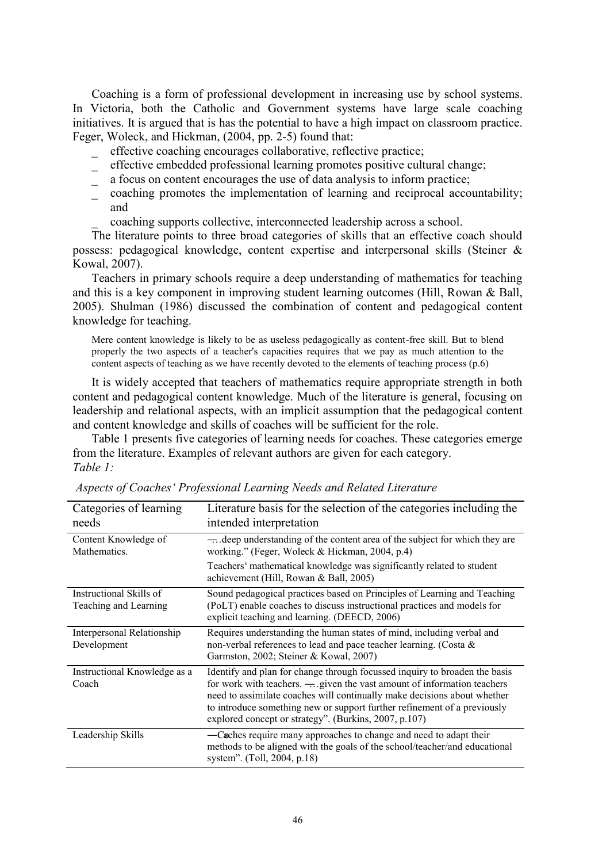Coaching is a form of professional development in increasing use by school systems. In Victoria, both the Catholic and Government systems have large scale coaching initiatives. It is argued that is has the potential to have a high impact on classroom practice. Feger, Woleck, and Hickman, (2004, pp. 2-5) found that:

- effective coaching encourages collaborative, reflective practice;
- \_ effective embedded professional learning promotes positive cultural change;
- \_ a focus on content encourages the use of data analysis to inform practice;
- \_ coaching promotes the implementation of learning and reciprocal accountability; and
	- \_ coaching supports collective, interconnected leadership across a school.

The literature points to three broad categories of skills that an effective coach should possess: pedagogical knowledge, content expertise and interpersonal skills (Steiner & Kowal, 2007).

Teachers in primary schools require a deep understanding of mathematics for teaching and this is a key component in improving student learning outcomes (Hill, Rowan & Ball, 2005). Shulman (1986) discussed the combination of content and pedagogical content knowledge for teaching.

Mere content knowledge is likely to be as useless pedagogically as content-free skill. But to blend properly the two aspects of a teacher's capacities requires that we pay as much attention to the content aspects of teaching as we have recently devoted to the elements of teaching process (p.6)

It is widely accepted that teachers of mathematics require appropriate strength in both content and pedagogical content knowledge. Much of the literature is general, focusing on leadership and relational aspects, with an implicit assumption that the pedagogical content and content knowledge and skills of coaches will be sufficient for the role.

Table 1 presents five categories of learning needs for coaches. These categories emerge from the literature. Examples of relevant authors are given for each category. *Table 1:* 

| Categories of learning<br>needs                  | Literature basis for the selection of the categories including the<br>intended interpretation                                                                                                                                                                                                                                                                                      |
|--------------------------------------------------|------------------------------------------------------------------------------------------------------------------------------------------------------------------------------------------------------------------------------------------------------------------------------------------------------------------------------------------------------------------------------------|
| Content Knowledge of<br>Mathematics.             | $\rightarrow$ deep understanding of the content area of the subject for which they are<br>working." (Feger, Woleck & Hickman, 2004, p.4)                                                                                                                                                                                                                                           |
|                                                  | Teachers' mathematical knowledge was significantly related to student<br>achievement (Hill, Rowan & Ball, 2005)                                                                                                                                                                                                                                                                    |
| Instructional Skills of<br>Teaching and Learning | Sound pedagogical practices based on Principles of Learning and Teaching<br>(PoLT) enable coaches to discuss instructional practices and models for<br>explicit teaching and learning. (DEECD, 2006)                                                                                                                                                                               |
| Interpersonal Relationship<br>Development        | Requires understanding the human states of mind, including verbal and<br>non-verbal references to lead and pace teacher learning. (Costa &<br>Garmston, 2002; Steiner & Kowal, 2007)                                                                                                                                                                                               |
| Instructional Knowledge as a<br>Coach            | Identify and plan for change through focussed inquiry to broaden the basis<br>for work with teachers. $\rightarrow$ given the vast amount of information teachers<br>need to assimilate coaches will continually make decisions about whether<br>to introduce something new or support further refinement of a previously<br>explored concept or strategy". (Burkins, 2007, p.107) |
| Leadership Skills                                | -Caches require many approaches to change and need to adapt their<br>methods to be aligned with the goals of the school/teacher/and educational<br>system". (Toll, 2004, p.18)                                                                                                                                                                                                     |

*Aspects of Coaches' Professional Learning Needs and Related Literature*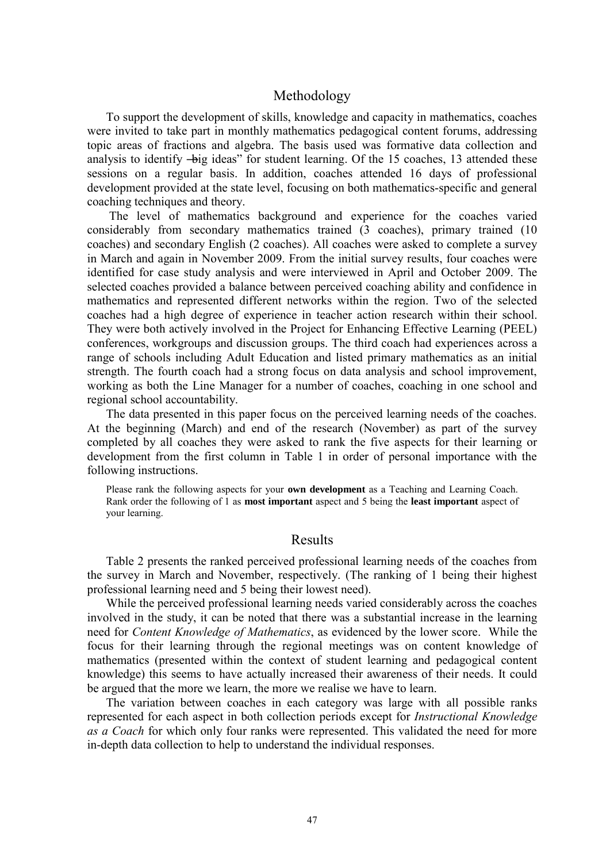## Methodology

To support the development of skills, knowledge and capacity in mathematics, coaches were invited to take part in monthly mathematics pedagogical content forums, addressing topic areas of fractions and algebra. The basis used was formative data collection and analysis to identify —big ideas" for student learning. Of the 15 coaches, 13 attended these sessions on a regular basis. In addition, coaches attended 16 days of professional development provided at the state level, focusing on both mathematics-specific and general coaching techniques and theory.

The level of mathematics background and experience for the coaches varied considerably from secondary mathematics trained (3 coaches), primary trained (10 coaches) and secondary English (2 coaches). All coaches were asked to complete a survey in March and again in November 2009. From the initial survey results, four coaches were identified for case study analysis and were interviewed in April and October 2009. The selected coaches provided a balance between perceived coaching ability and confidence in mathematics and represented different networks within the region. Two of the selected coaches had a high degree of experience in teacher action research within their school. They were both actively involved in the Project for Enhancing Effective Learning (PEEL) conferences, workgroups and discussion groups. The third coach had experiences across a range of schools including Adult Education and listed primary mathematics as an initial strength. The fourth coach had a strong focus on data analysis and school improvement, working as both the Line Manager for a number of coaches, coaching in one school and regional school accountability.

The data presented in this paper focus on the perceived learning needs of the coaches. At the beginning (March) and end of the research (November) as part of the survey completed by all coaches they were asked to rank the five aspects for their learning or development from the first column in Table 1 in order of personal importance with the following instructions.

Please rank the following aspects for your **own development** as a Teaching and Learning Coach. Rank order the following of 1 as **most important** aspect and 5 being the **least important** aspect of your learning.

# Results

Table 2 presents the ranked perceived professional learning needs of the coaches from the survey in March and November, respectively. (The ranking of 1 being their highest professional learning need and 5 being their lowest need).

While the perceived professional learning needs varied considerably across the coaches involved in the study, it can be noted that there was a substantial increase in the learning need for *Content Knowledge of Mathematics*, as evidenced by the lower score. While the focus for their learning through the regional meetings was on content knowledge of mathematics (presented within the context of student learning and pedagogical content knowledge) this seems to have actually increased their awareness of their needs. It could be argued that the more we learn, the more we realise we have to learn.

The variation between coaches in each category was large with all possible ranks represented for each aspect in both collection periods except for *Instructional Knowledge as a Coach* for which only four ranks were represented. This validated the need for more in-depth data collection to help to understand the individual responses.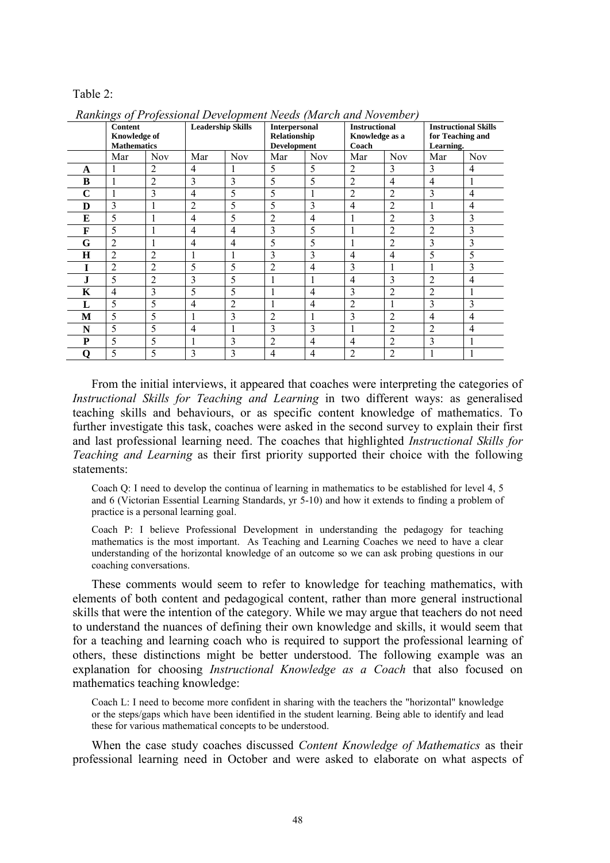#### Table 2:

|         | <b>Content</b><br><b>Knowledge of</b><br><b>Mathematics</b> |                | <b>Leadership Skills</b> |                | <b>Interpersonal</b><br>Relationship<br><b>Development</b> |                | <b>Instructional</b><br>Knowledge as a<br>Coach |                | <b>Instructional Skills</b><br>for Teaching and<br>Learning. |            |  |  |
|---------|-------------------------------------------------------------|----------------|--------------------------|----------------|------------------------------------------------------------|----------------|-------------------------------------------------|----------------|--------------------------------------------------------------|------------|--|--|
|         | Mar                                                         | <b>Nov</b>     | Mar                      | <b>Nov</b>     | Mar                                                        | <b>Nov</b>     | Mar                                             | <b>Nov</b>     | Mar                                                          | <b>Nov</b> |  |  |
| A       | 1                                                           | $\overline{2}$ | $\overline{4}$           | 1              | 5                                                          | 5              | $\overline{2}$                                  | 3              | 3                                                            | 4          |  |  |
| B       | 1                                                           | $\overline{2}$ | 3                        | 3              | 5                                                          | 5              | $\overline{2}$                                  | $\overline{4}$ | 4                                                            |            |  |  |
| C       | 1                                                           | 3              | $\overline{4}$           | 5              | 5                                                          | J.             | $\overline{2}$                                  | $\overline{2}$ | 3                                                            | 4          |  |  |
| D       | 3                                                           | ı              | $\overline{2}$           | 5              | 5                                                          | 3              | $\overline{4}$                                  | $\overline{2}$ | 1                                                            | 4          |  |  |
| E       | 5                                                           |                | 4                        | 5              | $\overline{2}$                                             | 4              |                                                 | $\overline{2}$ | 3                                                            | 3          |  |  |
| F       | 5                                                           | 1              | $\overline{4}$           | $\overline{4}$ | 3                                                          | 5              |                                                 | $\overline{2}$ | $\overline{2}$                                               | 3          |  |  |
| G       | $\overline{2}$                                              |                | 4                        | $\overline{4}$ | 5                                                          | 5              |                                                 | $\overline{2}$ | 3                                                            | 3          |  |  |
| $\bf H$ | $\overline{2}$                                              | $\overline{2}$ | 1                        | 1              | 3                                                          | 3              | 4                                               | $\overline{4}$ | 5                                                            | 5          |  |  |
|         | $\overline{2}$                                              | $\overline{2}$ | 5                        | 5              | $\overline{2}$                                             | $\overline{4}$ | 3                                               |                | 1                                                            | 3          |  |  |
| J       | 5                                                           | $\overline{2}$ | 3                        | 5              | T                                                          | 1              | 4                                               | 3              | 2                                                            | 4          |  |  |
| K       | $\overline{4}$                                              | 3              | 5                        | 5              |                                                            | $\overline{4}$ | 3                                               | $\overline{2}$ | $\overline{2}$                                               |            |  |  |
| L       | 5                                                           | 5              | $\overline{4}$           | $\overline{2}$ |                                                            | $\overline{4}$ | $\overline{2}$                                  |                | 3                                                            | 3          |  |  |
| М       | 5                                                           | 5              | 1                        | 3              | $\overline{2}$                                             | 1              | 3                                               | $\overline{2}$ | 4                                                            | 4          |  |  |
| N       | 5                                                           | 5              | $\overline{4}$           | 1              | 3                                                          | 3              |                                                 | $\overline{2}$ | 2                                                            | 4          |  |  |
| P       | 5                                                           | 5              | 1                        | 3              | 2                                                          | $\overline{4}$ | 4                                               | $\overline{2}$ | 3                                                            |            |  |  |
| 0       | 5                                                           | 5              | 3                        | 3              | 4                                                          | 4              | $\overline{2}$                                  | $\overline{2}$ | 1                                                            |            |  |  |

*Rankings of Professional Development Needs (March and November)* 

From the initial interviews, it appeared that coaches were interpreting the categories of *Instructional Skills for Teaching and Learning* in two different ways: as generalised teaching skills and behaviours, or as specific content knowledge of mathematics. To further investigate this task, coaches were asked in the second survey to explain their first and last professional learning need. The coaches that highlighted *Instructional Skills for Teaching and Learning* as their first priority supported their choice with the following statements:

Coach Q: I need to develop the continua of learning in mathematics to be established for level 4, 5 and 6 (Victorian Essential Learning Standards, yr 5-10) and how it extends to finding a problem of practice is a personal learning goal.

Coach P: I believe Professional Development in understanding the pedagogy for teaching mathematics is the most important. As Teaching and Learning Coaches we need to have a clear understanding of the horizontal knowledge of an outcome so we can ask probing questions in our coaching conversations.

These comments would seem to refer to knowledge for teaching mathematics, with elements of both content and pedagogical content, rather than more general instructional skills that were the intention of the category. While we may argue that teachers do not need to understand the nuances of defining their own knowledge and skills, it would seem that for a teaching and learning coach who is required to support the professional learning of others, these distinctions might be better understood. The following example was an explanation for choosing *Instructional Knowledge as a Coach* that also focused on mathematics teaching knowledge:

Coach L: I need to become more confident in sharing with the teachers the "horizontal" knowledge or the steps/gaps which have been identified in the student learning. Being able to identify and lead these for various mathematical concepts to be understood.

When the case study coaches discussed *Content Knowledge of Mathematics* as their professional learning need in October and were asked to elaborate on what aspects of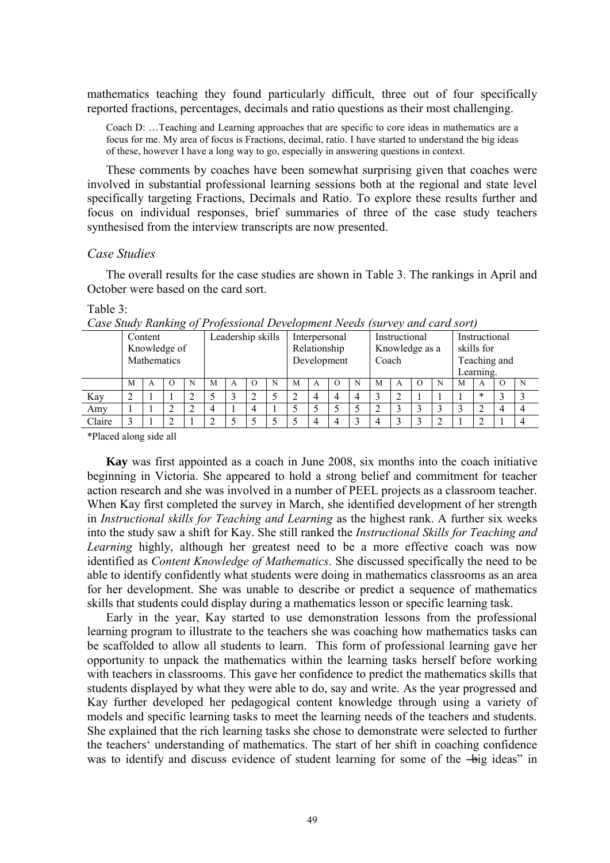mathematics teaching they found particularly difficult, three out of four specifically reported fractions, percentages, decimals and ratio questions as their most challenging.

Coach D: …Teaching and Learning approaches that are specific to core ideas in mathematics are a focus for me. My area of focus is Fractions, decimal, ratio. I have started to understand the big ideas of these, however I have a long way to go, especially in answering questions in context.

These comments by coaches have been somewhat surprising given that coaches were involved in substantial professional learning sessions both at the regional and state level specifically targeting Fractions, Decimals and Ratio. To explore these results further and focus on individual responses, brief summaries of three of the case study teachers synthesised from the interview transcripts are now presented.

### *Case Studies*

The overall results for the case studies are shown in Table 3. The rankings in April and October were based on the card sort.

### Table 3:

| Case Sharp Ranning of Frojessional Development Ivecus<br>$15$ <i>MI VCV UIIU CUI U SUI IJ</i> |              |   |           |                   |   |   |                  |   |   |                |                  |   |   |               |                  |   |   |        |                |   |
|-----------------------------------------------------------------------------------------------|--------------|---|-----------|-------------------|---|---|------------------|---|---|----------------|------------------|---|---|---------------|------------------|---|---|--------|----------------|---|
|                                                                                               | Content      |   |           | Leadership skills |   |   | Interpersonal    |   |   | Instructional  |                  |   |   | Instructional |                  |   |   |        |                |   |
|                                                                                               | Knowledge of |   |           |                   |   |   | Relationship     |   |   | Knowledge as a |                  |   |   | skills for    |                  |   |   |        |                |   |
|                                                                                               | Mathematics  |   |           |                   |   |   | Development      |   |   | Coach          |                  |   |   | Teaching and  |                  |   |   |        |                |   |
|                                                                                               |              |   |           |                   |   |   |                  |   |   |                |                  |   |   | Learning.     |                  |   |   |        |                |   |
|                                                                                               | M            | А | $\lambda$ | N                 | М | A | $\left( \right)$ | N | М | A              | $\left( \right)$ | N | M | A             | $\left( \right)$ | N | M | A      | ()             | N |
| Kay                                                                                           |              |   |           |                   |   |   |                  |   |   | 4              | 4                |   |   |               |                  |   |   | $\ast$ |                |   |
| Amy                                                                                           |              |   |           |                   |   |   | 4                |   |   |                |                  |   |   |               |                  |   |   |        | $\overline{4}$ |   |
| Claire                                                                                        |              |   |           |                   |   |   |                  |   |   | 4              |                  |   | 4 |               |                  |   |   |        |                |   |

*Case Study Ranking of Professional Development Needs (survey and card sort)* 

\*Placed along side all

**Kay** was first appointed as a coach in June 2008, six months into the coach initiative beginning in Victoria. She appeared to hold a strong belief and commitment for teacher action research and she was involved in a number of PEEL projects as a classroom teacher. When Kay first completed the survey in March, she identified development of her strength in *Instructional skills for Teaching and Learning* as the highest rank. A further six weeks into the study saw a shift for Kay. She still ranked the *Instructional Skills for Teaching and Learning* highly, although her greatest need to be a more effective coach was now identified as *Content Knowledge of Mathematics*. She discussed specifically the need to be able to identify confidently what students were doing in mathematics classrooms as an area for her development. She was unable to describe or predict a sequence of mathematics skills that students could display during a mathematics lesson or specific learning task.

Early in the year, Kay started to use demonstration lessons from the professional learning program to illustrate to the teachers she was coaching how mathematics tasks can be scaffolded to allow all students to learn. This form of professional learning gave her opportunity to unpack the mathematics within the learning tasks herself before working with teachers in classrooms. This gave her confidence to predict the mathematics skills that students displayed by what they were able to do, say and write. As the year progressed and Kay further developed her pedagogical content knowledge through using a variety of models and specific learning tasks to meet the learning needs of the teachers and students. She explained that the rich learning tasks she chose to demonstrate were selected to further the teachers' understanding of mathematics. The start of her shift in coaching confidence was to identify and discuss evidence of student learning for some of the  $-\overline{b}$  ideas" in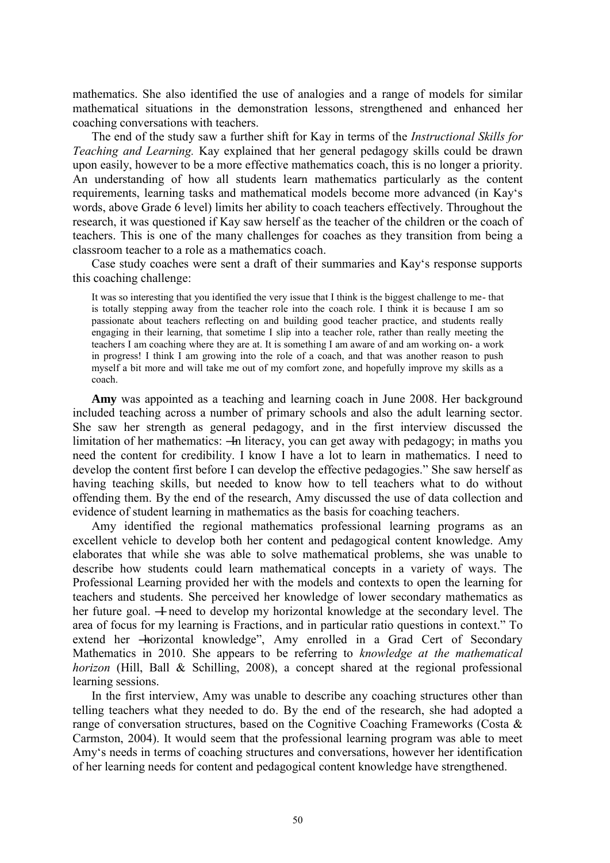mathematics. She also identified the use of analogies and a range of models for similar mathematical situations in the demonstration lessons, strengthened and enhanced her coaching conversations with teachers.

The end of the study saw a further shift for Kay in terms of the *Instructional Skills for Teaching and Learning.* Kay explained that her general pedagogy skills could be drawn upon easily, however to be a more effective mathematics coach, this is no longer a priority. An understanding of how all students learn mathematics particularly as the content requirements, learning tasks and mathematical models become more advanced (in Kay's words, above Grade 6 level) limits her ability to coach teachers effectively. Throughout the research, it was questioned if Kay saw herself as the teacher of the children or the coach of teachers. This is one of the many challenges for coaches as they transition from being a classroom teacher to a role as a mathematics coach.

Case study coaches were sent a draft of their summaries and Kay's response supports this coaching challenge:

It was so interesting that you identified the very issue that I think is the biggest challenge to me- that is totally stepping away from the teacher role into the coach role. I think it is because I am so passionate about teachers reflecting on and building good teacher practice, and students really engaging in their learning, that sometime I slip into a teacher role, rather than really meeting the teachers I am coaching where they are at. It is something I am aware of and am working on- a work in progress! I think I am growing into the role of a coach, and that was another reason to push myself a bit more and will take me out of my comfort zone, and hopefully improve my skills as a coach.

**Amy** was appointed as a teaching and learning coach in June 2008. Her background included teaching across a number of primary schools and also the adult learning sector. She saw her strength as general pedagogy, and in the first interview discussed the limitation of her mathematics: —In literacy, you can get away with pedagogy; in maths you need the content for credibility. I know I have a lot to learn in mathematics. I need to develop the content first before I can develop the effective pedagogies." She saw herself as having teaching skills, but needed to know how to tell teachers what to do without offending them. By the end of the research, Amy discussed the use of data collection and evidence of student learning in mathematics as the basis for coaching teachers.

Amy identified the regional mathematics professional learning programs as an excellent vehicle to develop both her content and pedagogical content knowledge. Amy elaborates that while she was able to solve mathematical problems, she was unable to describe how students could learn mathematical concepts in a variety of ways. The Professional Learning provided her with the models and contexts to open the learning for teachers and students. She perceived her knowledge of lower secondary mathematics as her future goal.  $\pm$  need to develop my horizontal knowledge at the secondary level. The area of focus for my learning is Fractions, and in particular ratio questions in context." To extend her - horizontal knowledge", Amy enrolled in a Grad Cert of Secondary Mathematics in 2010. She appears to be referring to *knowledge at the mathematical horizon* (Hill, Ball & Schilling, 2008), a concept shared at the regional professional learning sessions.

In the first interview, Amy was unable to describe any coaching structures other than telling teachers what they needed to do. By the end of the research, she had adopted a range of conversation structures, based on the Cognitive Coaching Frameworks (Costa & Carmston, 2004). It would seem that the professional learning program was able to meet Amy's needs in terms of coaching structures and conversations, however her identification of her learning needs for content and pedagogical content knowledge have strengthened.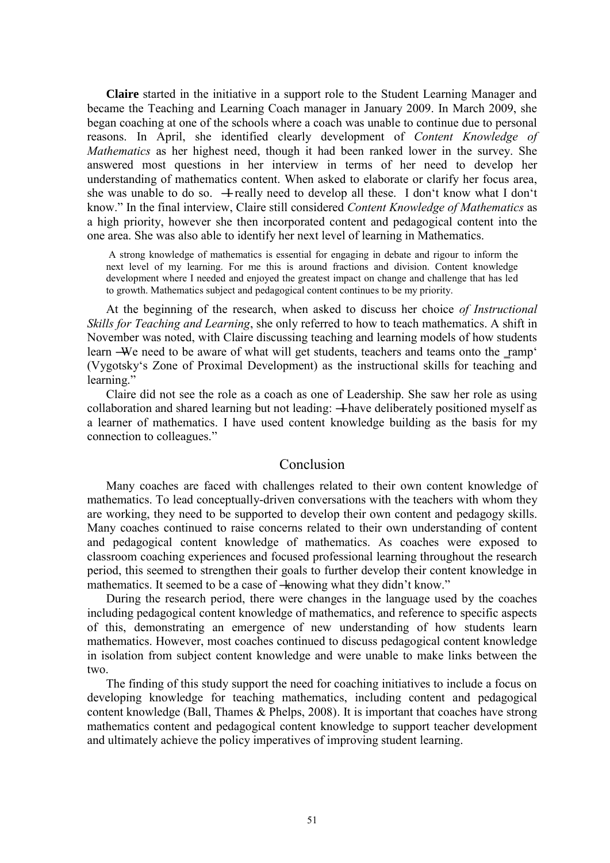**Claire** started in the initiative in a support role to the Student Learning Manager and became the Teaching and Learning Coach manager in January 2009. In March 2009, she began coaching at one of the schools where a coach was unable to continue due to personal reasons. In April, she identified clearly development of *Content Knowledge of Mathematics* as her highest need, though it had been ranked lower in the survey. She answered most questions in her interview in terms of her need to develop her understanding of mathematics content. When asked to elaborate or clarify her focus area, she was unable to do so.  $\pm$  really need to develop all these. I don't know what I don't know.‖ In the final interview, Claire still considered *Content Knowledge of Mathematics* as a high priority, however she then incorporated content and pedagogical content into the one area. She was also able to identify her next level of learning in Mathematics.

 A strong knowledge of mathematics is essential for engaging in debate and rigour to inform the next level of my learning. For me this is around fractions and division. Content knowledge development where I needed and enjoyed the greatest impact on change and challenge that has led to growth. Mathematics subject and pedagogical content continues to be my priority.

At the beginning of the research, when asked to discuss her choice *of Instructional Skills for Teaching and Learning*, she only referred to how to teach mathematics. A shift in November was noted, with Claire discussing teaching and learning models of how students learn —We need to be aware of what will get students, teachers and teams onto the ramp' (Vygotsky's Zone of Proximal Development) as the instructional skills for teaching and learning."

Claire did not see the role as a coach as one of Leadership. She saw her role as using collaboration and shared learning but not leading: —Have deliberately positioned myself as a learner of mathematics. I have used content knowledge building as the basis for my connection to colleagues."

### Conclusion

Many coaches are faced with challenges related to their own content knowledge of mathematics. To lead conceptually-driven conversations with the teachers with whom they are working, they need to be supported to develop their own content and pedagogy skills. Many coaches continued to raise concerns related to their own understanding of content and pedagogical content knowledge of mathematics. As coaches were exposed to classroom coaching experiences and focused professional learning throughout the research period, this seemed to strengthen their goals to further develop their content knowledge in mathematics. It seemed to be a case of  $\pm$ nowing what they didn't know."

During the research period, there were changes in the language used by the coaches including pedagogical content knowledge of mathematics, and reference to specific aspects of this, demonstrating an emergence of new understanding of how students learn mathematics. However, most coaches continued to discuss pedagogical content knowledge in isolation from subject content knowledge and were unable to make links between the two.

The finding of this study support the need for coaching initiatives to include a focus on developing knowledge for teaching mathematics, including content and pedagogical content knowledge (Ball, Thames & Phelps, 2008). It is important that coaches have strong mathematics content and pedagogical content knowledge to support teacher development and ultimately achieve the policy imperatives of improving student learning.